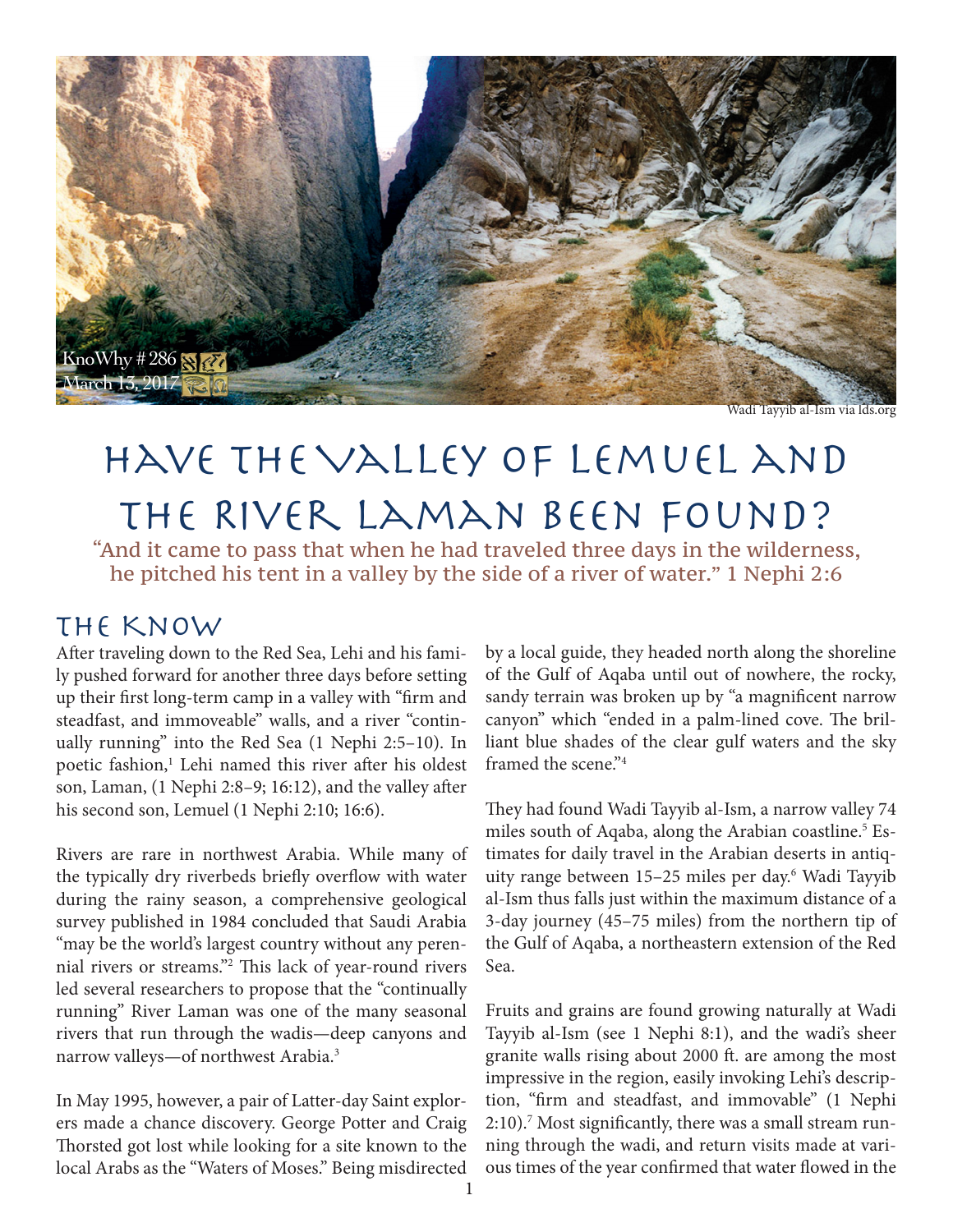

Wadi Tayyib al-Ism via lds.org

# Have the Valley of Lemuel and the River Laman Been Found?

"And it came to pass that when he had traveled three days in the wilderness, he pitched his tent in a valley by the side of a river of water." 1 Nephi 2:6

#### The Know

After traveling down to the Red Sea, Lehi and his family pushed forward for another three days before setting up their first long-term camp in a valley with "firm and steadfast, and immoveable" walls, and a river "continually running" into the Red Sea (1 Nephi 2:5–10). In poetic fashion,<sup>1</sup> Lehi named this river after his oldest son, Laman, (1 Nephi 2:8–9; 16:12), and the valley after his second son, Lemuel (1 Nephi 2:10; 16:6).

Rivers are rare in northwest Arabia. While many of the typically dry riverbeds briefly overflow with water during the rainy season, a comprehensive geological survey published in 1984 concluded that Saudi Arabia "may be the world's largest country without any perennial rivers or streams."2 This lack of year-round rivers led several researchers to propose that the "continually running" River Laman was one of the many seasonal rivers that run through the wadis—deep canyons and narrow valleys—of northwest Arabia.3

In May 1995, however, a pair of Latter-day Saint explorers made a chance discovery. George Potter and Craig Thorsted got lost while looking for a site known to the local Arabs as the "Waters of Moses." Being misdirected

by a local guide, they headed north along the shoreline of the Gulf of Aqaba until out of nowhere, the rocky, sandy terrain was broken up by "a magnificent narrow canyon" which "ended in a palm-lined cove. The brilliant blue shades of the clear gulf waters and the sky framed the scene."4

They had found Wadi Tayyib al-Ism, a narrow valley 74 miles south of Aqaba, along the Arabian coastline.<sup>5</sup> Estimates for daily travel in the Arabian deserts in antiquity range between 15–25 miles per day.6 Wadi Tayyib al-Ism thus falls just within the maximum distance of a 3-day journey (45–75 miles) from the northern tip of the Gulf of Aqaba, a northeastern extension of the Red Sea.

Fruits and grains are found growing naturally at Wadi Tayyib al-Ism (see 1 Nephi 8:1), and the wadi's sheer granite walls rising about 2000 ft. are among the most impressive in the region, easily invoking Lehi's description, "firm and steadfast, and immovable" (1 Nephi 2:10).7 Most significantly, there was a small stream running through the wadi, and return visits made at various times of the year confirmed that water flowed in the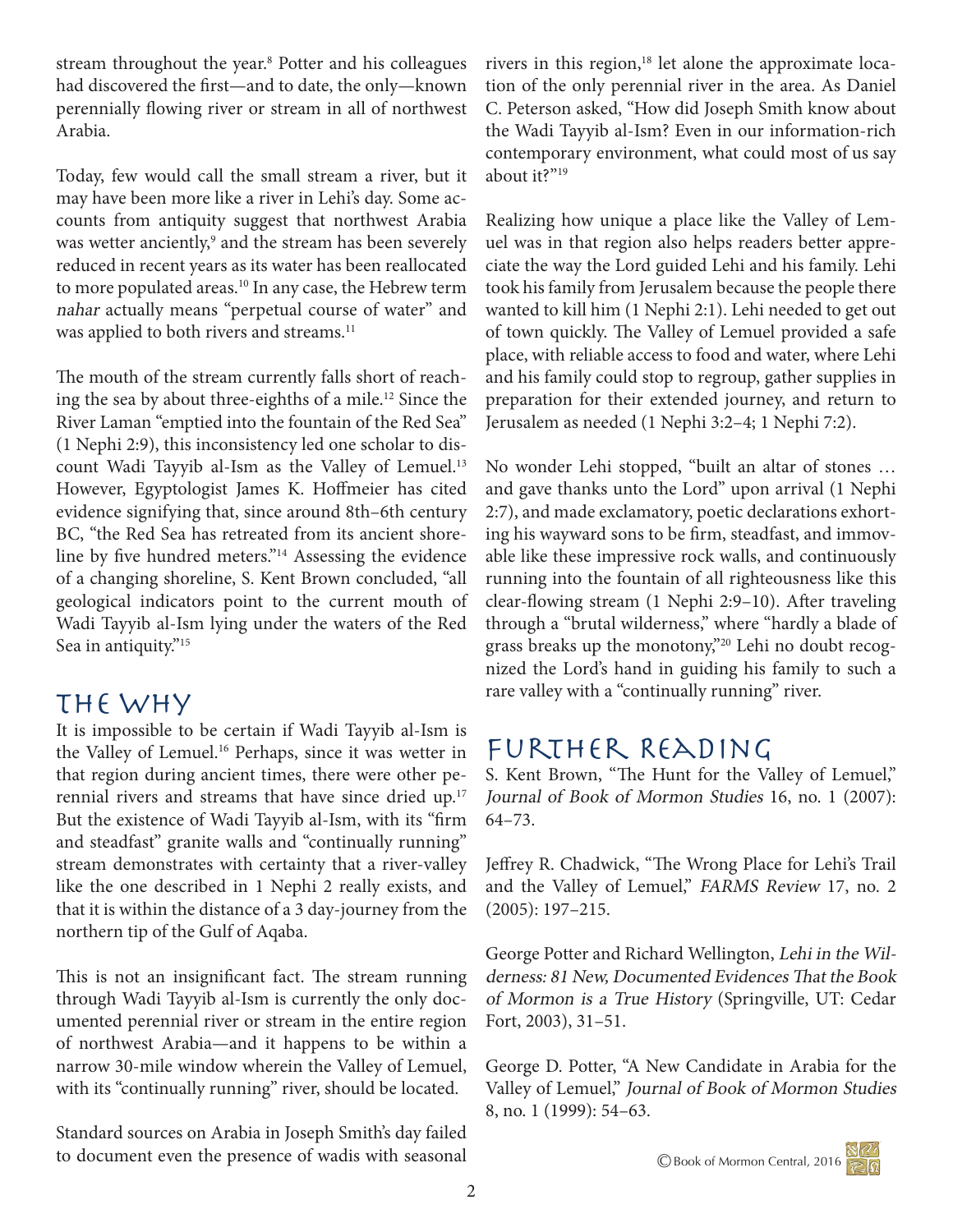stream throughout the year.<sup>8</sup> Potter and his colleagues had discovered the first—and to date, the only—known perennially flowing river or stream in all of northwest Arabia.

Today, few would call the small stream a river, but it may have been more like a river in Lehi's day. Some accounts from antiquity suggest that northwest Arabia was wetter anciently,<sup>9</sup> and the stream has been severely reduced in recent years as its water has been reallocated to more populated areas.<sup>10</sup> In any case, the Hebrew term nahar actually means "perpetual course of water" and was applied to both rivers and streams.<sup>11</sup>

The mouth of the stream currently falls short of reaching the sea by about three-eighths of a mile.12 Since the River Laman "emptied into the fountain of the Red Sea" (1 Nephi 2:9), this inconsistency led one scholar to discount Wadi Tayyib al-Ism as the Valley of Lemuel.<sup>13</sup> However, Egyptologist James K. Hoffmeier has cited evidence signifying that, since around 8th–6th century BC, "the Red Sea has retreated from its ancient shoreline by five hundred meters."14 Assessing the evidence of a changing shoreline, S. Kent Brown concluded, "all geological indicators point to the current mouth of Wadi Tayyib al-Ism lying under the waters of the Red Sea in antiquity."<sup>15</sup>

## The Why

It is impossible to be certain if Wadi Tayyib al-Ism is the Valley of Lemuel.16 Perhaps, since it was wetter in that region during ancient times, there were other perennial rivers and streams that have since dried up.<sup>17</sup> But the existence of Wadi Tayyib al-Ism, with its "firm and steadfast" granite walls and "continually running" stream demonstrates with certainty that a river-valley like the one described in 1 Nephi 2 really exists, and that it is within the distance of a 3 day-journey from the northern tip of the Gulf of Aqaba.

This is not an insignificant fact. The stream running through Wadi Tayyib al-Ism is currently the only documented perennial river or stream in the entire region of northwest Arabia—and it happens to be within a narrow 30-mile window wherein the Valley of Lemuel, with its "continually running" river, should be located.

Standard sources on Arabia in Joseph Smith's day failed to document even the presence of wadis with seasonal rivers in this region,<sup>18</sup> let alone the approximate location of the only perennial river in the area. As Daniel C. Peterson asked, "How did Joseph Smith know about the Wadi Tayyib al-Ism? Even in our information-rich contemporary environment, what could most of us say about it?"19

Realizing how unique a place like the Valley of Lemuel was in that region also helps readers better appreciate the way the Lord guided Lehi and his family. Lehi took his family from Jerusalem because the people there wanted to kill him (1 Nephi 2:1). Lehi needed to get out of town quickly. The Valley of Lemuel provided a safe place, with reliable access to food and water, where Lehi and his family could stop to regroup, gather supplies in preparation for their extended journey, and return to Jerusalem as needed (1 Nephi 3:2–4; 1 Nephi 7:2).

No wonder Lehi stopped, "built an altar of stones … and gave thanks unto the Lord" upon arrival (1 Nephi 2:7), and made exclamatory, poetic declarations exhorting his wayward sons to be firm, steadfast, and immovable like these impressive rock walls, and continuously running into the fountain of all righteousness like this clear-flowing stream (1 Nephi 2:9–10). After traveling through a "brutal wilderness," where "hardly a blade of grass breaks up the monotony,"20 Lehi no doubt recognized the Lord's hand in guiding his family to such a rare valley with a "continually running" river.

## Further Reading

S. Kent Brown, "The Hunt for the Valley of Lemuel," Journal of Book of Mormon Studies 16, no. 1 (2007): 64–73.

Jeffrey R. Chadwick, "The Wrong Place for Lehi's Trail and the Valley of Lemuel," FARMS Review 17, no. 2 (2005): 197–215.

George Potter and Richard Wellington, Lehi in the Wilderness: 81 New, Documented Evidences That the Book of Mormon is a True History (Springville, UT: Cedar Fort, 2003), 31–51.

George D. Potter, "A New Candidate in Arabia for the Valley of Lemuel," Journal of Book of Mormon Studies 8, no. 1 (1999): 54–63.